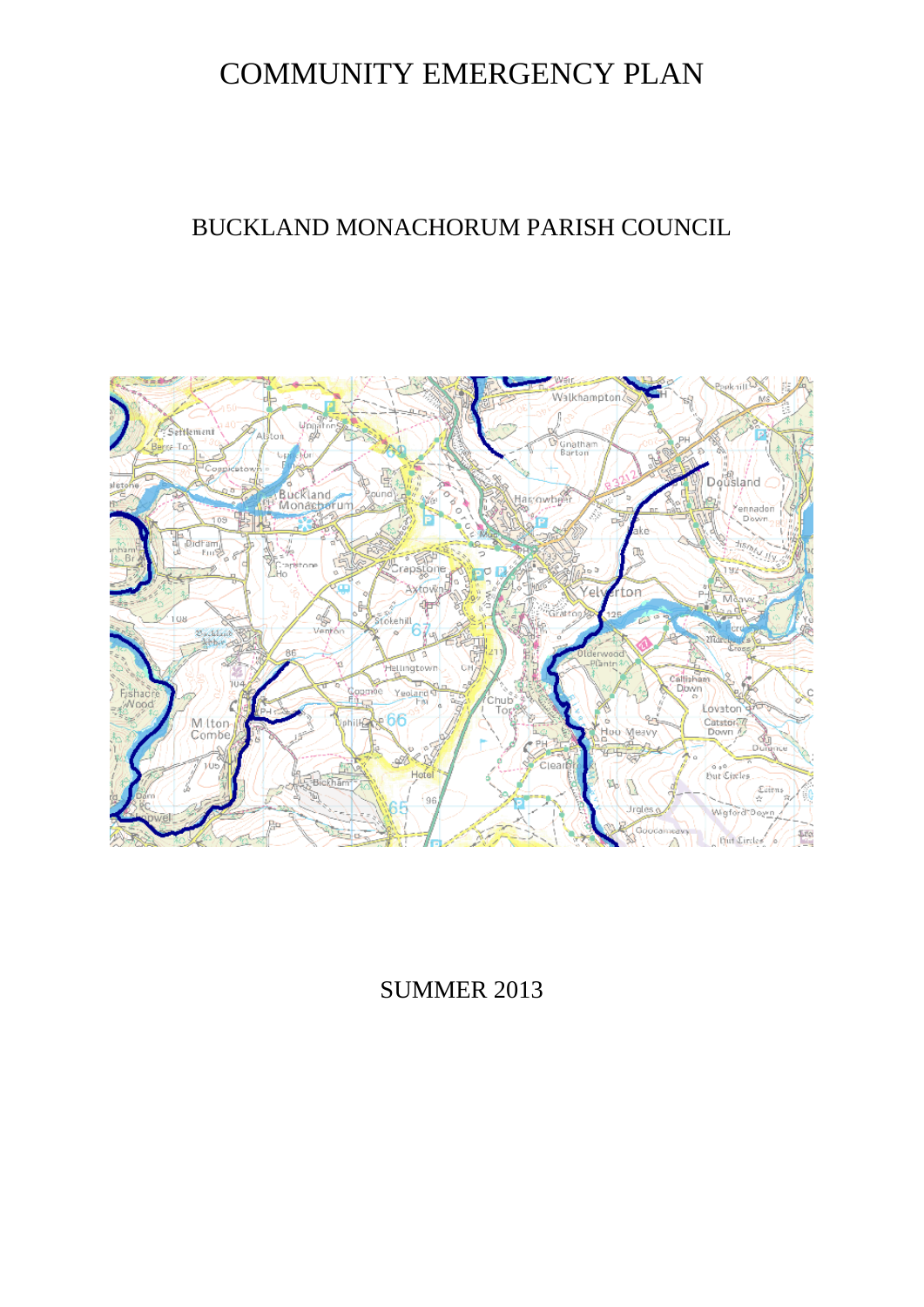# COMMUNITY EMERGENCY PLAN

# BUCKLAND MONACHORUM PARISH COUNCIL



# SUMMER 2013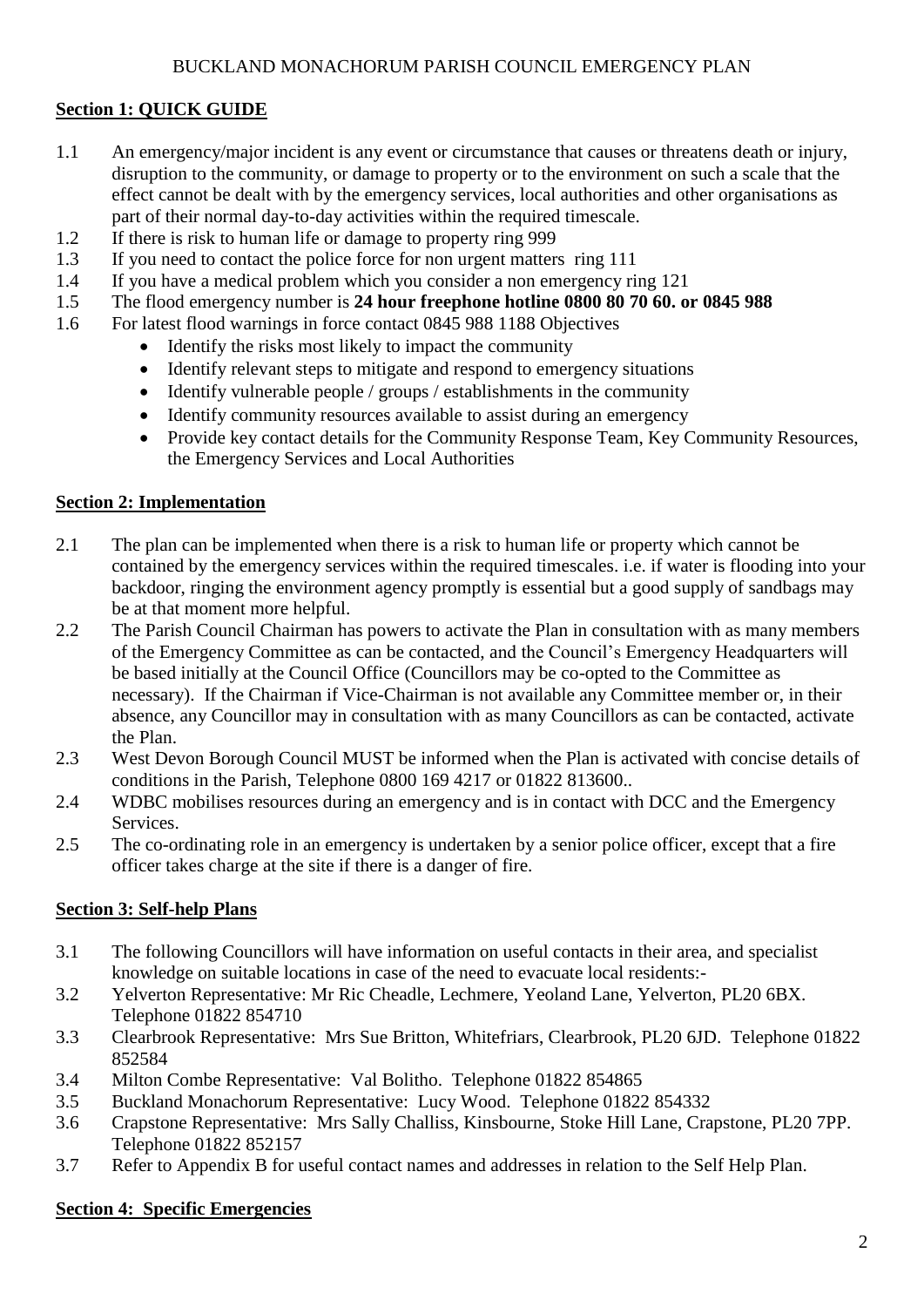#### BUCKLAND MONACHORUM PARISH COUNCIL EMERGENCY PLAN

#### **Section 1: QUICK GUIDE**

- 1.1 An emergency/major incident is any event or circumstance that causes or threatens death or injury, disruption to the community, or damage to property or to the environment on such a scale that the effect cannot be dealt with by the emergency services, local authorities and other organisations as part of their normal day-to-day activities within the required timescale.
- 1.2 If there is risk to human life or damage to property ring 999
- 1.3 If you need to contact the police force for non urgent matters ring 111
- 1.4 If you have a medical problem which you consider a non emergency ring 121
- 1.5 The flood emergency number is **24 hour freephone hotline 0800 80 70 60. or 0845 988**
- 1.6 For latest flood warnings in force contact 0845 988 1188 Objectives
	- Identify the risks most likely to impact the community
	- Identify relevant steps to mitigate and respond to emergency situations
	- $\bullet$  Identify vulnerable people / groups / establishments in the community
	- Identify community resources available to assist during an emergency
	- Provide key contact details for the Community Response Team, Key Community Resources, the Emergency Services and Local Authorities

#### **Section 2: Implementation**

- 2.1 The plan can be implemented when there is a risk to human life or property which cannot be contained by the emergency services within the required timescales. i.e. if water is flooding into your backdoor, ringing the environment agency promptly is essential but a good supply of sandbags may be at that moment more helpful.
- 2.2 The Parish Council Chairman has powers to activate the Plan in consultation with as many members of the Emergency Committee as can be contacted, and the Council's Emergency Headquarters will be based initially at the Council Office (Councillors may be co-opted to the Committee as necessary). If the Chairman if Vice-Chairman is not available any Committee member or, in their absence, any Councillor may in consultation with as many Councillors as can be contacted, activate the Plan.
- 2.3 West Devon Borough Council MUST be informed when the Plan is activated with concise details of conditions in the Parish, Telephone 0800 169 4217 or 01822 813600..
- 2.4 WDBC mobilises resources during an emergency and is in contact with DCC and the Emergency Services.
- 2.5 The co-ordinating role in an emergency is undertaken by a senior police officer, except that a fire officer takes charge at the site if there is a danger of fire.

#### **Section 3: Self-help Plans**

- 3.1 The following Councillors will have information on useful contacts in their area, and specialist knowledge on suitable locations in case of the need to evacuate local residents:-
- 3.2 Yelverton Representative: Mr Ric Cheadle, Lechmere, Yeoland Lane, Yelverton, PL20 6BX. Telephone 01822 854710
- 3.3 Clearbrook Representative: Mrs Sue Britton, Whitefriars, Clearbrook, PL20 6JD. Telephone 01822 852584
- 3.4 Milton Combe Representative: Val Bolitho. Telephone 01822 854865
- 3.5 Buckland Monachorum Representative: Lucy Wood. Telephone 01822 854332
- 3.6 Crapstone Representative: Mrs Sally Challiss, Kinsbourne, Stoke Hill Lane, Crapstone, PL20 7PP. Telephone 01822 852157
- 3.7 Refer to Appendix B for useful contact names and addresses in relation to the Self Help Plan.

#### **Section 4: Specific Emergencies**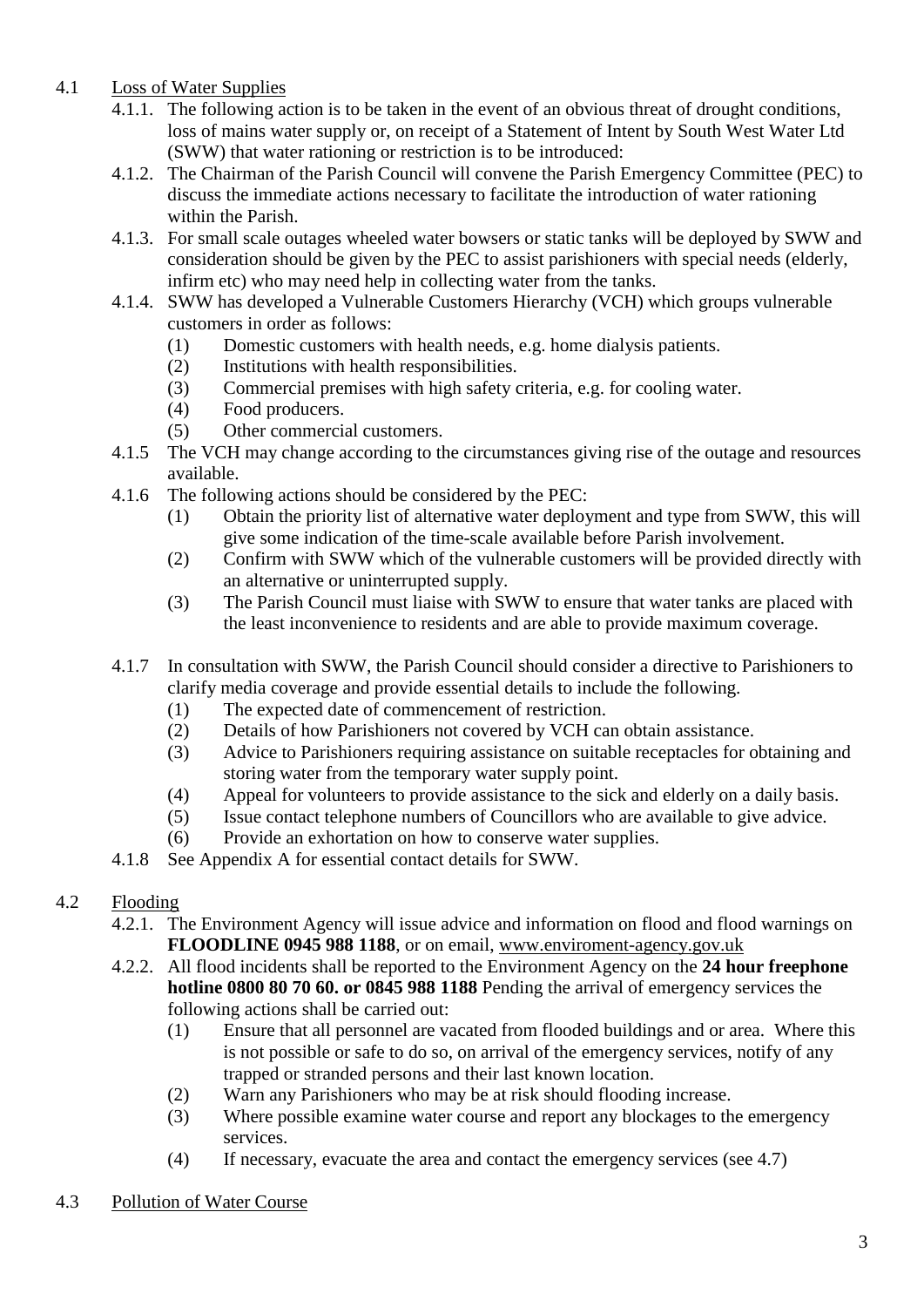- 4.1 Loss of Water Supplies
	- 4.1.1. The following action is to be taken in the event of an obvious threat of drought conditions, loss of mains water supply or, on receipt of a Statement of Intent by South West Water Ltd (SWW) that water rationing or restriction is to be introduced:
	- 4.1.2. The Chairman of the Parish Council will convene the Parish Emergency Committee (PEC) to discuss the immediate actions necessary to facilitate the introduction of water rationing within the Parish.
	- 4.1.3. For small scale outages wheeled water bowsers or static tanks will be deployed by SWW and consideration should be given by the PEC to assist parishioners with special needs (elderly, infirm etc) who may need help in collecting water from the tanks.
	- 4.1.4. SWW has developed a Vulnerable Customers Hierarchy (VCH) which groups vulnerable customers in order as follows:
		- (1) Domestic customers with health needs, e.g. home dialysis patients.
		- (2) Institutions with health responsibilities.
		- (3) Commercial premises with high safety criteria, e.g. for cooling water.
		- (4) Food producers.
		- (5) Other commercial customers.
	- 4.1.5 The VCH may change according to the circumstances giving rise of the outage and resources available.
	- 4.1.6 The following actions should be considered by the PEC:
		- (1) Obtain the priority list of alternative water deployment and type from SWW, this will give some indication of the time-scale available before Parish involvement.
		- (2) Confirm with SWW which of the vulnerable customers will be provided directly with an alternative or uninterrupted supply.
		- (3) The Parish Council must liaise with SWW to ensure that water tanks are placed with the least inconvenience to residents and are able to provide maximum coverage.
	- 4.1.7 In consultation with SWW, the Parish Council should consider a directive to Parishioners to clarify media coverage and provide essential details to include the following.
		- (1) The expected date of commencement of restriction.
		- (2) Details of how Parishioners not covered by VCH can obtain assistance.
		- (3) Advice to Parishioners requiring assistance on suitable receptacles for obtaining and storing water from the temporary water supply point.
		- (4) Appeal for volunteers to provide assistance to the sick and elderly on a daily basis.
		- (5) Issue contact telephone numbers of Councillors who are available to give advice.
		- (6) Provide an exhortation on how to conserve water supplies.
	- 4.1.8 See Appendix A for essential contact details for SWW.
- 4.2 Flooding
	- 4.2.1. The Environment Agency will issue advice and information on flood and flood warnings on **FLOODLINE 0945 988 1188**, or on email, [www.enviroment-agency.gov.uk](http://www.enviroment-agency.gov.uk/)
	- 4.2.2. All flood incidents shall be reported to the Environment Agency on the **24 hour freephone hotline 0800 80 70 60. or 0845 988 1188** Pending the arrival of emergency services the following actions shall be carried out:
		- (1) Ensure that all personnel are vacated from flooded buildings and or area. Where this is not possible or safe to do so, on arrival of the emergency services, notify of any trapped or stranded persons and their last known location.
		- (2) Warn any Parishioners who may be at risk should flooding increase.
		- (3) Where possible examine water course and report any blockages to the emergency services.
		- (4) If necessary, evacuate the area and contact the emergency services (see 4.7)
- 4.3 Pollution of Water Course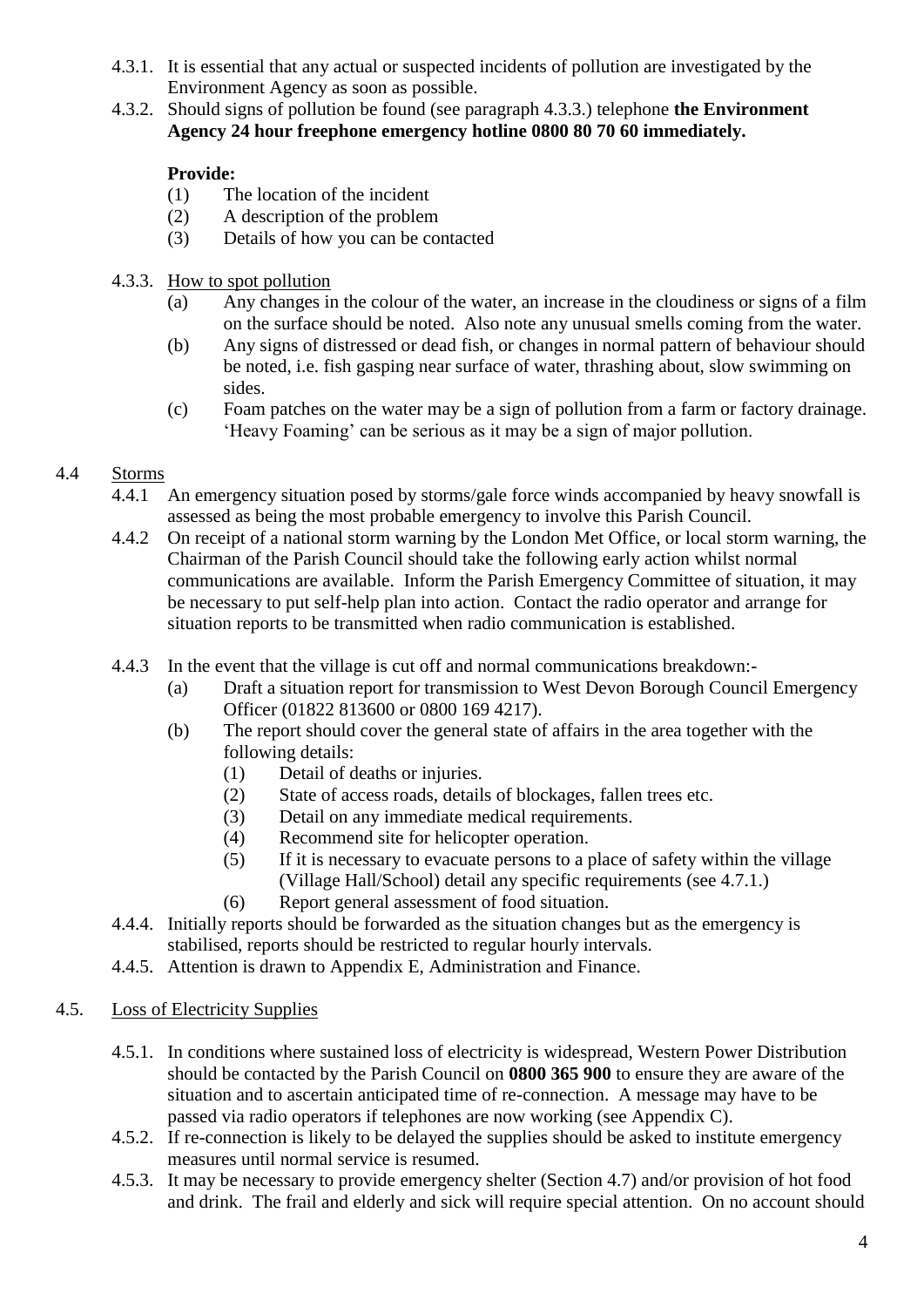- 4.3.1. It is essential that any actual or suspected incidents of pollution are investigated by the Environment Agency as soon as possible.
- 4.3.2. Should signs of pollution be found (see paragraph 4.3.3.) telephone **the Environment Agency 24 hour freephone emergency hotline 0800 80 70 60 immediately.**

# **Provide:**

- (1) The location of the incident
- (2) A description of the problem
- (3) Details of how you can be contacted
- 4.3.3. How to spot pollution
	- (a) Any changes in the colour of the water, an increase in the cloudiness or signs of a film on the surface should be noted. Also note any unusual smells coming from the water.
	- (b) Any signs of distressed or dead fish, or changes in normal pattern of behaviour should be noted, i.e. fish gasping near surface of water, thrashing about, slow swimming on sides.
	- (c) Foam patches on the water may be a sign of pollution from a farm or factory drainage. 'Heavy Foaming' can be serious as it may be a sign of major pollution.

# 4.4 Storms

- 4.4.1 An emergency situation posed by storms/gale force winds accompanied by heavy snowfall is assessed as being the most probable emergency to involve this Parish Council.
- 4.4.2 On receipt of a national storm warning by the London Met Office, or local storm warning, the Chairman of the Parish Council should take the following early action whilst normal communications are available. Inform the Parish Emergency Committee of situation, it may be necessary to put self-help plan into action. Contact the radio operator and arrange for situation reports to be transmitted when radio communication is established.
- 4.4.3 In the event that the village is cut off and normal communications breakdown:-
	- (a) Draft a situation report for transmission to West Devon Borough Council Emergency Officer (01822 813600 or 0800 169 4217).
	- (b) The report should cover the general state of affairs in the area together with the following details:
		- (1) Detail of deaths or injuries.
		- (2) State of access roads, details of blockages, fallen trees etc.
		- (3) Detail on any immediate medical requirements.
		- (4) Recommend site for helicopter operation.
		- (5) If it is necessary to evacuate persons to a place of safety within the village (Village Hall/School) detail any specific requirements (see 4.7.1.)
		- (6) Report general assessment of food situation.
- 4.4.4. Initially reports should be forwarded as the situation changes but as the emergency is stabilised, reports should be restricted to regular hourly intervals.
- 4.4.5. Attention is drawn to Appendix E, Administration and Finance.

# 4.5. Loss of Electricity Supplies

- 4.5.1. In conditions where sustained loss of electricity is widespread, Western Power Distribution should be contacted by the Parish Council on **0800 365 900** to ensure they are aware of the situation and to ascertain anticipated time of re-connection. A message may have to be passed via radio operators if telephones are now working (see Appendix C).
- 4.5.2. If re-connection is likely to be delayed the supplies should be asked to institute emergency measures until normal service is resumed.
- 4.5.3. It may be necessary to provide emergency shelter (Section 4.7) and/or provision of hot food and drink. The frail and elderly and sick will require special attention. On no account should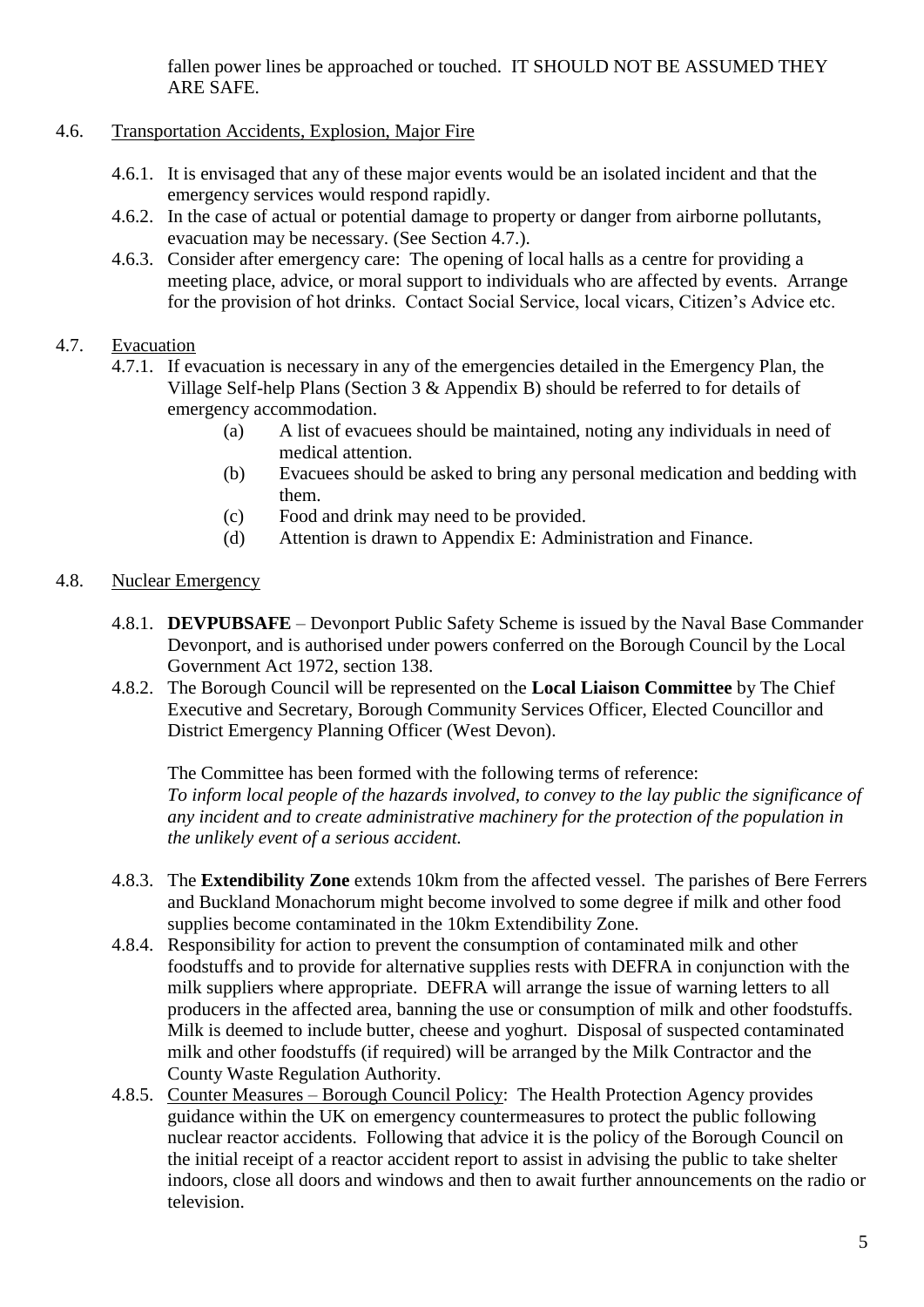fallen power lines be approached or touched. IT SHOULD NOT BE ASSUMED THEY ARE SAFE.

# 4.6. Transportation Accidents, Explosion, Major Fire

- 4.6.1. It is envisaged that any of these major events would be an isolated incident and that the emergency services would respond rapidly.
- 4.6.2. In the case of actual or potential damage to property or danger from airborne pollutants, evacuation may be necessary. (See Section 4.7.).
- 4.6.3. Consider after emergency care: The opening of local halls as a centre for providing a meeting place, advice, or moral support to individuals who are affected by events. Arrange for the provision of hot drinks. Contact Social Service, local vicars, Citizen's Advice etc.

# 4.7. Evacuation

- 4.7.1. If evacuation is necessary in any of the emergencies detailed in the Emergency Plan, the Village Self-help Plans (Section 3 & Appendix B) should be referred to for details of emergency accommodation.
	- (a) A list of evacuees should be maintained, noting any individuals in need of medical attention.
	- (b) Evacuees should be asked to bring any personal medication and bedding with them.
	- (c) Food and drink may need to be provided.
	- (d) Attention is drawn to Appendix E: Administration and Finance.

# 4.8. Nuclear Emergency

- 4.8.1. **DEVPUBSAFE**  Devonport Public Safety Scheme is issued by the Naval Base Commander Devonport, and is authorised under powers conferred on the Borough Council by the Local Government Act 1972, section 138.
- 4.8.2. The Borough Council will be represented on the **Local Liaison Committee** by The Chief Executive and Secretary, Borough Community Services Officer, Elected Councillor and District Emergency Planning Officer (West Devon).

The Committee has been formed with the following terms of reference: *To inform local people of the hazards involved, to convey to the lay public the significance of any incident and to create administrative machinery for the protection of the population in the unlikely event of a serious accident.*

- 4.8.3. The **Extendibility Zone** extends 10km from the affected vessel. The parishes of Bere Ferrers and Buckland Monachorum might become involved to some degree if milk and other food supplies become contaminated in the 10km Extendibility Zone.
- 4.8.4. Responsibility for action to prevent the consumption of contaminated milk and other foodstuffs and to provide for alternative supplies rests with DEFRA in conjunction with the milk suppliers where appropriate. DEFRA will arrange the issue of warning letters to all producers in the affected area, banning the use or consumption of milk and other foodstuffs. Milk is deemed to include butter, cheese and yoghurt. Disposal of suspected contaminated milk and other foodstuffs (if required) will be arranged by the Milk Contractor and the County Waste Regulation Authority.
- 4.8.5. Counter Measures Borough Council Policy: The Health Protection Agency provides guidance within the UK on emergency countermeasures to protect the public following nuclear reactor accidents. Following that advice it is the policy of the Borough Council on the initial receipt of a reactor accident report to assist in advising the public to take shelter indoors, close all doors and windows and then to await further announcements on the radio or television.